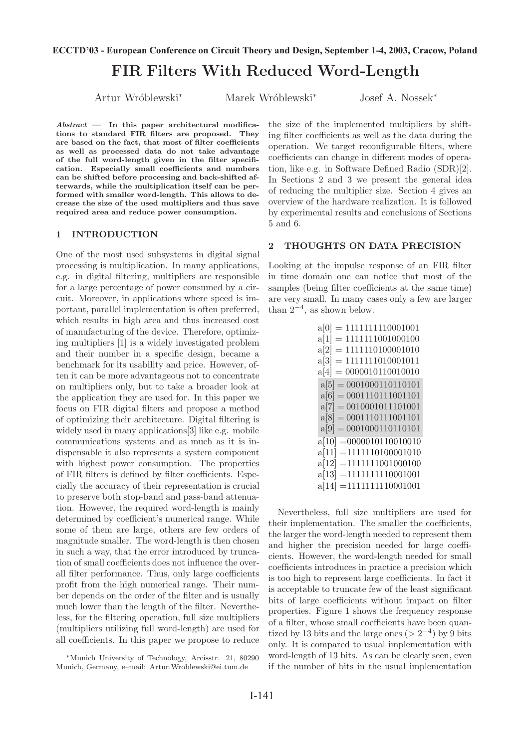# FIR Filters With Reduced Word-Length **ECCTD'03 - European Conference on Circuit Theory and Design, September 1-4, 2003, Cracow, Poland**

Artur Wr´oblewski*<sup>∗</sup>* Marek Wr´oblewski*<sup>∗</sup>* Josef A. Nossek*<sup>∗</sup>*

*Abstract* — In this paper architectural modifications to standard FIR filters are proposed. They are based on the fact, that most of filter coefficients as well as processed data do not take advantage of the full word-length given in the filter specification. Especially small coefficients and numbers can be shifted before processing and back-shifted afterwards, while the multiplication itself can be performed with smaller word-length. This allows to decrease the size of the used multipliers and thus save required area and reduce power consumption.

#### 1 INTRODUCTION

One of the most used subsystems in digital signal processing is multiplication. In many applications, e.g. in digital filtering, multipliers are responsible for a large percentage of power consumed by a circuit. Moreover, in applications where speed is important, parallel implementation is often preferred, which results in high area and thus increased cost of manufacturing of the device. Therefore, optimizing multipliers [1] is a widely investigated problem and their number in a specific design, became a benchmark for its usability and price. However, often it can be more advantageous not to concentrate on multipliers only, but to take a broader look at the application they are used for. In this paper we focus on FIR digital filters and propose a method of optimizing their architecture. Digital filtering is widely used in many applications[3] like e.g. mobile communications systems and as much as it is indispensable it also represents a system component with highest power consumption. The properties of FIR filters is defined by filter coefficients. Especially the accuracy of their representation is crucial to preserve both stop-band and pass-band attenuation. However, the required word-length is mainly determined by coefficient's numerical range. While some of them are large, others are few orders of magnitude smaller. The word-length is then chosen in such a way, that the error introduced by truncation of small coefficients does not influence the overall filter performance. Thus, only large coefficients profit from the high numerical range. Their number depends on the order of the filter and is usually much lower than the length of the filter. Nevertheless, for the filtering operation, full size multipliers (multipliers utilizing full word-length) are used for all coefficients. In this paper we propose to reduce the size of the implemented multipliers by shifting filter coefficients as well as the data during the operation. We target reconfigurable filters, where coefficients can change in different modes of operation, like e.g. in Software Defined Radio (SDR)[2]. In Sections 2 and 3 we present the general idea of reducing the multiplier size. Section 4 gives an overview of the hardware realization. It is followed by experimental results and conclusions of Sections 5 and 6.

## 2 THOUGHTS ON DATA PRECISION

Looking at the impulse response of an FIR filter in time domain one can notice that most of the samples (being filter coefficients at the same time) are very small. In many cases only a few are larger than 2*−*4, as shown below.

| $= 1111111110001001$<br>a[0]  |
|-------------------------------|
| $= 1111111001000100$<br>a[1]  |
| $=1111110100001010$<br>a[2]   |
| $= 11111111010001011$<br>a[3] |
| $= 0000010110010010$<br>a[4]  |
| $a[5] = 0001000110110101$     |
| $a[6] = 0001110111001101$     |
| $a[7] = 0010001011101001$     |
| $a[8] = 0001110111001101$     |
| $a[9] = 0001000110110101$     |
| $a[10] = 0000010110010010$    |
| $= 1111110100001010$<br>a[11] |
| $a[12] = 1111111001000100$    |
| $= 1111111110001001$<br>a[13] |
| $a[14] = 1111111110001001$    |

Nevertheless, full size multipliers are used for their implementation. The smaller the coefficients, the larger the word-length needed to represent them and higher the precision needed for large coefficients. However, the word-length needed for small coefficients introduces in practice a precision which is too high to represent large coefficients. In fact it is acceptable to truncate few of the least significant bits of large coefficients without impact on filter properties. Figure 1 shows the frequency response of a filter, whose small coefficients have been quantized by 13 bits and the large ones ( $> 2^{-4}$ ) by 9 bits only. It is compared to usual implementation with word-length of 13 bits. As can be clearly seen, even if the number of bits in the usual implementation

*<sup>∗</sup>*Munich University of Technology, Arcisstr. 21, 80290 Munich, Germany, e–mail: Artur.Wroblewski@ei.tum.de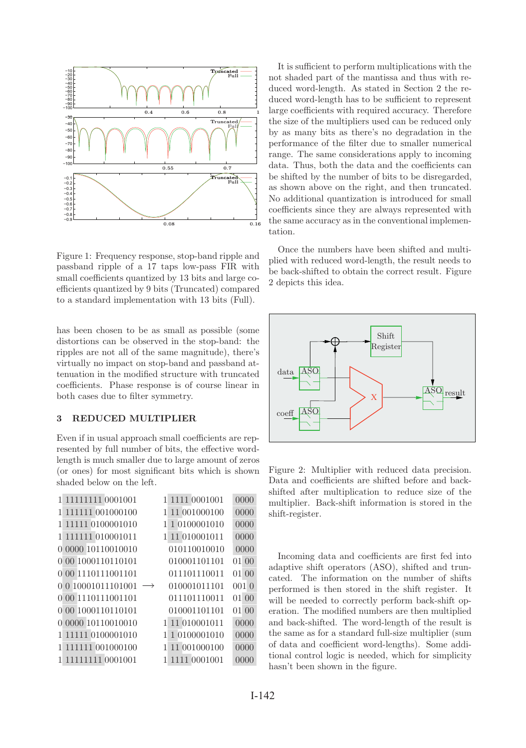

Figure 1: Frequency response, stop-band ripple and passband ripple of a 17 taps low-pass FIR with small coefficients quantized by 13 bits and large coefficients quantized by 9 bits (Truncated) compared to a standard implementation with 13 bits (Full).

has been chosen to be as small as possible (some distortions can be observed in the stop-band: the ripples are not all of the same magnitude), there's virtually no impact on stop-band and passband attenuation in the modified structure with truncated coefficients. Phase response is of course linear in both cases due to filter symmetry.

# 3 REDUCED MULTIPLIER

Even if in usual approach small coefficients are represented by full number of bits, the effective wordlength is much smaller due to large amount of zeros (or ones) for most significant bits which is shown shaded below on the left.

| 1 11111111 0001001 | 1111 0001001<br>1            | 0000  |
|--------------------|------------------------------|-------|
| 1 111111 001000100 | 11 001000100<br>1            | 0000  |
| 1 11111 0100001010 | 1 0100001010<br>1            | 0000  |
| 1 111111 010001011 | 11 010001011<br>$\mathbf{1}$ | 0000  |
| 0 0000 10110010010 | 010110010010                 | 0000  |
| 0 00 1000110110101 | 010001101101                 | 01 00 |
| 0 00 1110111001101 | 011101110011                 | 01 00 |
| 0 0 10001011101001 | 010001011101                 | 0010  |
| 0 00 1110111001101 | 011101110011                 | 01 00 |
| 0 00 1000110110101 | 010001101101                 | 01 00 |
| 0 0000 10110010010 | 1 11 010001011               | 0000  |
| 1 11111 0100001010 | 1 0100001010<br>1            | 0000  |
| 1 111111 001000100 | 11 001000100<br>1            | 0000  |
| 1 11111111 0001001 | 1111 0001001<br>1            | 0000  |
|                    |                              |       |

It is sufficient to perform multiplications with the not shaded part of the mantissa and thus with reduced word-length. As stated in Section 2 the reduced word-length has to be sufficient to represent large coefficients with required accuracy. Therefore the size of the multipliers used can be reduced only by as many bits as there's no degradation in the performance of the filter due to smaller numerical range. The same considerations apply to incoming data. Thus, both the data and the coefficients can be shifted by the number of bits to be disregarded, as shown above on the right, and then truncated. No additional quantization is introduced for small coefficients since they are always represented with the same accuracy as in the conventional implementation.

Once the numbers have been shifted and multiplied with reduced word-length, the result needs to be back-shifted to obtain the correct result. Figure 2 depicts this idea.



Figure 2: Multiplier with reduced data precision. Data and coefficients are shifted before and backshifted after multiplication to reduce size of the multiplier. Back-shift information is stored in the shift-register.

Incoming data and coefficients are first fed into adaptive shift operators (ASO), shifted and truncated. The information on the number of shifts performed is then stored in the shift register. It will be needed to correctly perform back-shift operation. The modified numbers are then multiplied and back-shifted. The word-length of the result is the same as for a standard full-size multiplier (sum of data and coefficient word-lengths). Some additional control logic is needed, which for simplicity hasn't been shown in the figure.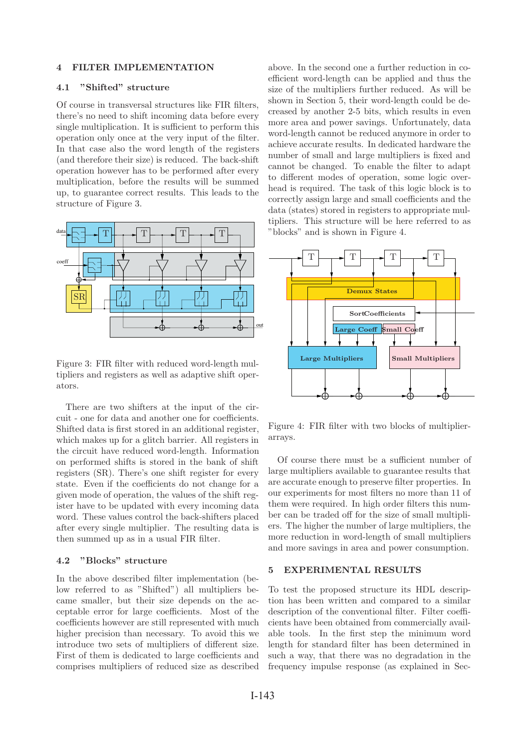## 4 FILTER IMPLEMENTATION

# 4.1 "Shifted" structure

Of course in transversal structures like FIR filters, there's no need to shift incoming data before every single multiplication. It is sufficient to perform this operation only once at the very input of the filter. In that case also the word length of the registers (and therefore their size) is reduced. The back-shift operation however has to be performed after every multiplication, before the results will be summed up, to guarantee correct results. This leads to the structure of Figure 3.



Figure 3: FIR filter with reduced word-length multipliers and registers as well as adaptive shift operators.

There are two shifters at the input of the circuit - one for data and another one for coefficients. Shifted data is first stored in an additional register, which makes up for a glitch barrier. All registers in the circuit have reduced word-length. Information on performed shifts is stored in the bank of shift registers (SR). There's one shift register for every state. Even if the coefficients do not change for a given mode of operation, the values of the shift register have to be updated with every incoming data word. These values control the back-shifters placed after every single multiplier. The resulting data is then summed up as in a usual FIR filter.

# 4.2 "Blocks" structure

In the above described filter implementation (below referred to as "Shifted") all multipliers became smaller, but their size depends on the acceptable error for large coefficients. Most of the coefficients however are still represented with much higher precision than necessary. To avoid this we introduce two sets of multipliers of different size. First of them is dedicated to large coefficients and comprises multipliers of reduced size as described above. In the second one a further reduction in coefficient word-length can be applied and thus the size of the multipliers further reduced. As will be shown in Section 5, their word-length could be decreased by another 2-5 bits, which results in even more area and power savings. Unfortunately, data word-length cannot be reduced anymore in order to achieve accurate results. In dedicated hardware the number of small and large multipliers is fixed and cannot be changed. To enable the filter to adapt to different modes of operation, some logic overhead is required. The task of this logic block is to correctly assign large and small coefficients and the data (states) stored in registers to appropriate multipliers. This structure will be here referred to as "blocks" and is shown in Figure 4.



Figure 4: FIR filter with two blocks of multiplierarrays.

Of course there must be a sufficient number of large multipliers available to guarantee results that are accurate enough to preserve filter properties. In our experiments for most filters no more than 11 of them were required. In high order filters this number can be traded off for the size of small multipliers. The higher the number of large multipliers, the more reduction in word-length of small multipliers and more savings in area and power consumption.

# 5 EXPERIMENTAL RESULTS

To test the proposed structure its HDL description has been written and compared to a similar description of the conventional filter. Filter coefficients have been obtained from commercially available tools. In the first step the minimum word length for standard filter has been determined in such a way, that there was no degradation in the frequency impulse response (as explained in Sec-